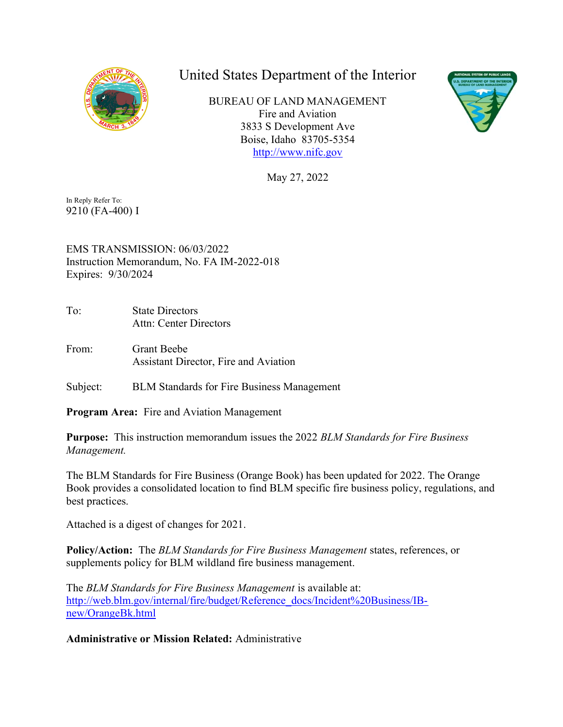

## United States Department of the Interior

 BUREAU OF LAND MANAGEMENT Fire and Aviation 3833 S Development Ave Boise, Idaho 83705-5354 <http://www.nifc.gov>



May 27, 2022

 In Reply Refer To: 9210 (FA-400) I

 EMS TRANSMISSION: 06/03/2022 Instruction Memorandum, No. FA IM-2022-018 Expires: 9/30/2024

To: Attn: Center Directors **State Directors** 

From: Assistant Director, Fire and Aviation Grant Beebe

Subject: BLM Standards for Fire Business Management

Program Area: Fire and Aviation Management

Purpose: This instruction memorandum issues the 2022 BLM Standards for Fire Business Management.

 The BLM Standards for Fire Business (Orange Book) has been updated for 2022. The Orange Book provides a consolidated location to find BLM specific fire business policy, regulations, and best practices.

Attached is a digest of changes for 2021.

Policy/Action: The BLM Standards for Fire Business Management states, references, or supplements policy for BLM wildland fire business management.

The BLM Standards for Fire Business Management is available at: [http://web.blm.gov/internal/fire/budget/Reference\\_docs/Incident%20Business/IB](http://web.blm.gov/internal/fire/budget/Reference_docs/Incident%20Business/IB)new/OrangeBk.html

Administrative or Mission Related: Administrative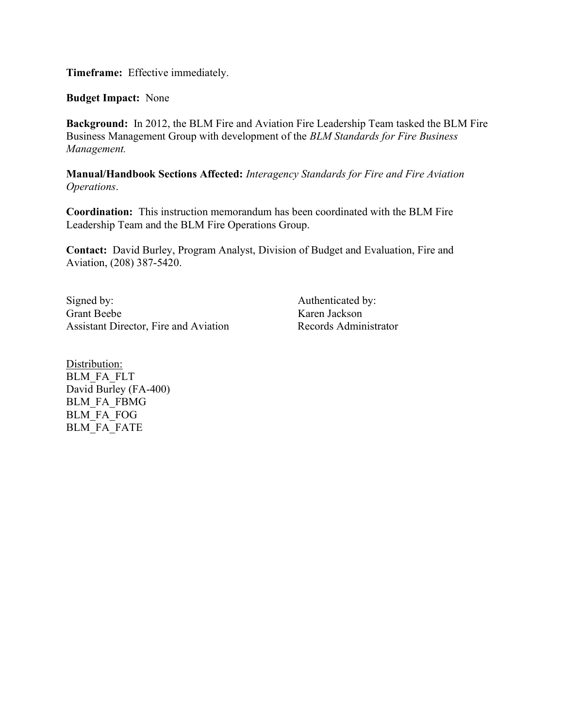Timeframe: Effective immediately.

Budget Impact: None

Background: In 2012, the BLM Fire and Aviation Fire Leadership Team tasked the BLM Fire Business Management Group with development of the BLM Standards for Fire Business Management.

Manual/Handbook Sections Affected: Interagency Standards for Fire and Fire Aviation Operations.

 Coordination: This instruction memorandum has been coordinated with the BLM Fire Leadership Team and the BLM Fire Operations Group.

 Contact: David Burley, Program Analyst, Division of Budget and Evaluation, Fire and Aviation, (208) 387-5420.

Signed by: Authenticated by: Grant Beebe Karen Jackson Assistant Director, Fire and Aviation Records Administrator

Distribution: BLM\_FA\_FLT David Burley (FA-400) BLM\_FA\_FBMG BLM\_FA\_FOG BLM FA FATE